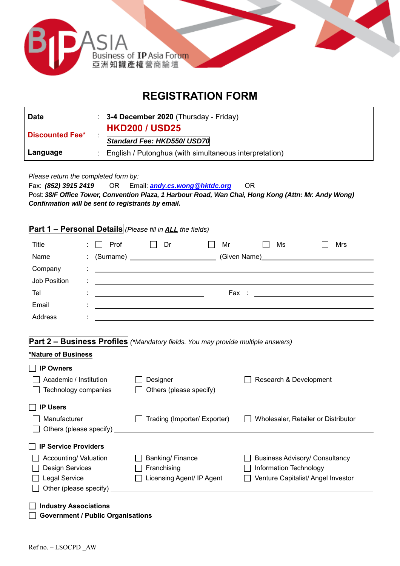

# **REGISTRATION FORM**

| <b>Date</b>            | : $3-4$ December 2020 (Thursday - Friday)                |  |
|------------------------|----------------------------------------------------------|--|
| <b>Discounted Fee*</b> | <b>HKD200 / USD25</b><br>Standard Fee: HKD550/ USD70     |  |
| Language               | : English / Putonghua (with simultaneous interpretation) |  |

*Please return the completed form by:* 

Fax: *(852) 3915 2419* OR Email: *andy.cs.wong@hktdc.org* OR Post: *38/F Office Tower, Convention Plaza, 1 Harbour Road, Wan Chai, Hong Kong (Attn: Mr. Andy Wong) Confirmation will be sent to registrants by email.*

## **Part 1 – Personal Details** *(Please fill in ALL the fields)*

| Title        | Prof<br>$\pm$ 11 | Dr                                                                                                                    | Mr | Ms                                                                                                                                                                                                                                   | Mrs |
|--------------|------------------|-----------------------------------------------------------------------------------------------------------------------|----|--------------------------------------------------------------------------------------------------------------------------------------------------------------------------------------------------------------------------------------|-----|
| Name         |                  |                                                                                                                       |    | (Given Name) <u>Container and Container and Container and Container and Container and Container and Container and Container and Container and Container and Container and Container and Container and Container and Container an</u> |     |
| Company      |                  | <u> : ___________________________</u>                                                                                 |    |                                                                                                                                                                                                                                      |     |
| Job Position | ÷                | <u> 1989 - Andrea State Barbara, amerikan personal di personal dengan personal dengan personal dengan personal de</u> |    |                                                                                                                                                                                                                                      |     |
| Tel          |                  |                                                                                                                       |    |                                                                                                                                                                                                                                      |     |
| Email        |                  |                                                                                                                       |    |                                                                                                                                                                                                                                      |     |
| Address      | ٠                |                                                                                                                       |    |                                                                                                                                                                                                                                      |     |

#### **Part 2 – Business Profiles** *(\*Mandatory fields. You may provide multiple answers)*

#### **\*Nature of Business**

| <b>IP Owners</b>                   |                                                                                                                      |                                       |
|------------------------------------|----------------------------------------------------------------------------------------------------------------------|---------------------------------------|
| Academic / Institution             | Designer                                                                                                             | Research & Development                |
| Technology companies               | Others (please specify)                                                                                              |                                       |
| <b>IP Users</b>                    |                                                                                                                      |                                       |
| Manufacturer                       | Trading (Importer/ Exporter)                                                                                         | Wholesaler, Retailer or Distributor   |
| Others (please specify)<br>$\perp$ | <u> 1980 - Jan Stein Stein Stein Stein Stein Stein Stein Stein Stein Stein Stein Stein Stein Stein Stein Stein S</u> |                                       |
| IP Service Providers               |                                                                                                                      |                                       |
| Accounting/ Valuation              | Banking/Finance                                                                                                      | <b>Business Advisory/ Consultancy</b> |
| <b>Design Services</b>             | Franchising                                                                                                          | Information Technology                |
| Legal Service                      | Licensing Agent/ IP Agent                                                                                            | Venture Capitalist/ Angel Investor    |
| Other (please specify)             |                                                                                                                      |                                       |
| <b>Industry Associations</b>       |                                                                                                                      |                                       |

**Government / Public Organisations**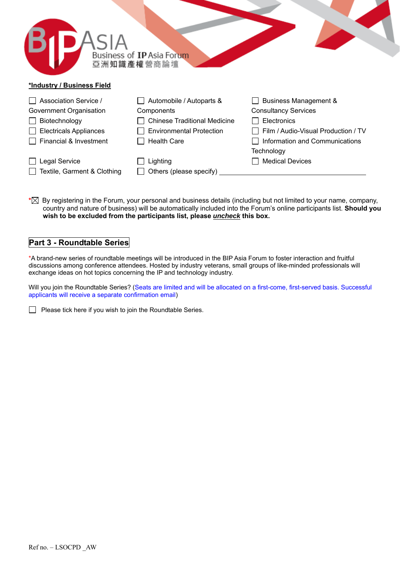|                               | Business of IP Asia Forum<br>亞洲知識產權營商論壇 |                                     |
|-------------------------------|-----------------------------------------|-------------------------------------|
| *Industry / Business Field    |                                         |                                     |
| Association Service /         | Automobile / Autoparts &                | <b>Business Management &amp;</b>    |
| Government Organisation       | Components                              | <b>Consultancy Services</b>         |
| Biotechnology                 | <b>Chinese Traditional Medicine</b>     | Electronics                         |
| <b>Electricals Appliances</b> | <b>Environmental Protection</b>         | Film / Audio-Visual Production / TV |
| Financial & Investment        | <b>Health Care</b>                      | Information and Communications      |
|                               |                                         | Technology                          |
| Legal Service                 | Lighting                                | <b>Medical Devices</b>              |

 $\Box$  Textile, Garment & Clothing  $\Box$  Others (please specify)

**\*** By registering in the Forum, your personal and business details (including but not limited to your name, company, country and nature of business) will be automatically included into the Forum's online participants list. **Should you wish to be excluded from the participants list, please** *uncheck* **this box.** 

## **Part 3 - Roundtable Series**

\*A brand-new series of roundtable meetings will be introduced in the BIP Asia Forum to foster interaction and fruitful discussions among conference attendees. Hosted by industry veterans, small groups of like-minded professionals will exchange ideas on hot topics concerning the IP and technology industry.

Will you join the Roundtable Series? (Seats are limited and will be allocated on a first-come, first-served basis. Successful applicants will receive a separate confirmation email)

 $\Box$  Please tick here if you wish to join the Roundtable Series.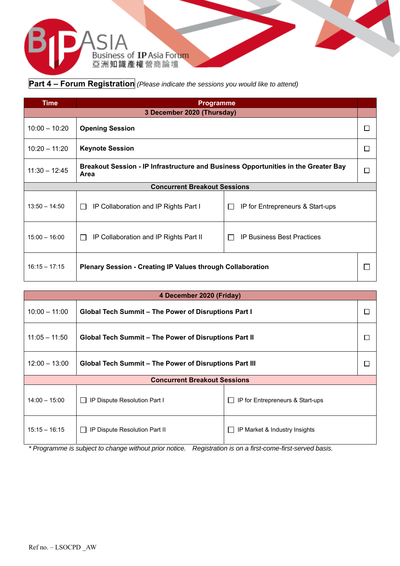

**Part 4 – Forum Registration** *(Please indicate the sessions you would like to attend)* 

| Time                                | <b>Programme</b>                                                                                |                                             |  |
|-------------------------------------|-------------------------------------------------------------------------------------------------|---------------------------------------------|--|
| 3 December 2020 (Thursday)          |                                                                                                 |                                             |  |
| $10:00 - 10:20$                     | <b>Opening Session</b><br>г                                                                     |                                             |  |
| $10:20 - 11:20$                     | <b>Keynote Session</b><br>г                                                                     |                                             |  |
| $11:30 - 12:45$                     | Breakout Session - IP Infrastructure and Business Opportunities in the Greater Bay<br>П<br>Area |                                             |  |
| <b>Concurrent Breakout Sessions</b> |                                                                                                 |                                             |  |
| $13:50 - 14:50$                     | IP Collaboration and IP Rights Part I<br>$\mathbf{1}$                                           | IP for Entrepreneurs & Start-ups<br>$\perp$ |  |
| $15:00 - 16:00$                     | IP Collaboration and IP Rights Part II<br>$\Box$                                                | <b>IP Business Best Practices</b>           |  |
| $16:15 - 17:15$                     | <b>Plenary Session - Creating IP Values through Collaboration</b>                               |                                             |  |

| 4 December 2020 (Friday)                                                            |                                                             |                               |   |
|-------------------------------------------------------------------------------------|-------------------------------------------------------------|-------------------------------|---|
| $10:00 - 11:00$                                                                     | <b>Global Tech Summit - The Power of Disruptions Part I</b> |                               | Е |
| $11:05 - 11:50$                                                                     | Global Tech Summit – The Power of Disruptions Part II       |                               | Е |
| $12:00 - 13:00$                                                                     | Global Tech Summit – The Power of Disruptions Part III      |                               | ⊏ |
| <b>Concurrent Breakout Sessions</b>                                                 |                                                             |                               |   |
| $14:00 - 15:00$<br>IP for Entrepreneurs & Start-ups<br>IP Dispute Resolution Part I |                                                             |                               |   |
| $15:15 - 16:15$                                                                     | IP Dispute Resolution Part II                               | IP Market & Industry Insights |   |

*\* Programme is subject to change without prior notice. Registration is on a first-come-first-served basis.*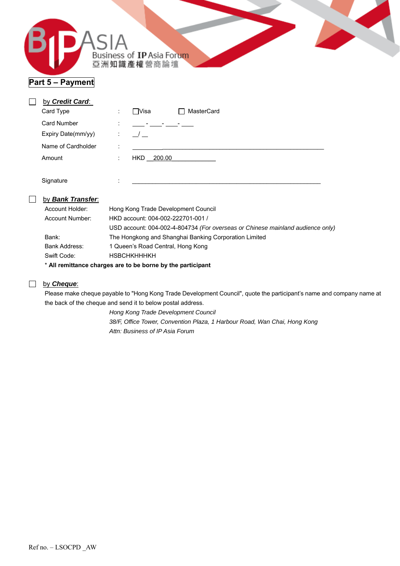|--|

## **Part 5 – Payment**

| by Credit Card:    |                                        |                              |
|--------------------|----------------------------------------|------------------------------|
| Card Type          | $\bullet$<br>$\mathbf{r}$              | MasterCard<br>$\square$ Visa |
| <b>Card Number</b> | $\blacksquare$<br>$\ddot{\phantom{0}}$ | $\blacksquare$               |
| Expiry Date(mm/yy) | ÷                                      |                              |
| Name of Cardholder | ٠<br>٠                                 |                              |
| Amount             | ÷                                      | 200.00<br>HKD.               |
|                    |                                        |                              |
| Signature          | ٠<br>$\cdot$                           |                              |

#### by *Bank Transfer*:

| Account Holder: | Hong Kong Trade Development Council                                            |
|-----------------|--------------------------------------------------------------------------------|
| Account Number: | HKD account: 004-002-222701-001 /                                              |
|                 | USD account: 004-002-4-804734 (For overseas or Chinese mainland audience only) |
| Bank:           | The Hongkong and Shanghai Banking Corporation Limited                          |
| Bank Address:   | 1 Queen's Road Central, Hong Kong                                              |
| Swift Code:     | <b>HSBCHKHHHKH</b>                                                             |
|                 |                                                                                |

\* **All remittance charges are to be borne by the participant** 

#### **by Cheque:**

Please make cheque payable to "Hong Kong Trade Development Council", quote the participant's name and company name at the back of the cheque and send it to below postal address.

> *Hong Kong Trade Development Council 38/F, Office Tower, Convention Plaza, 1 Harbour Road, Wan Chai, Hong Kong Attn: Business of IP Asia Forum*